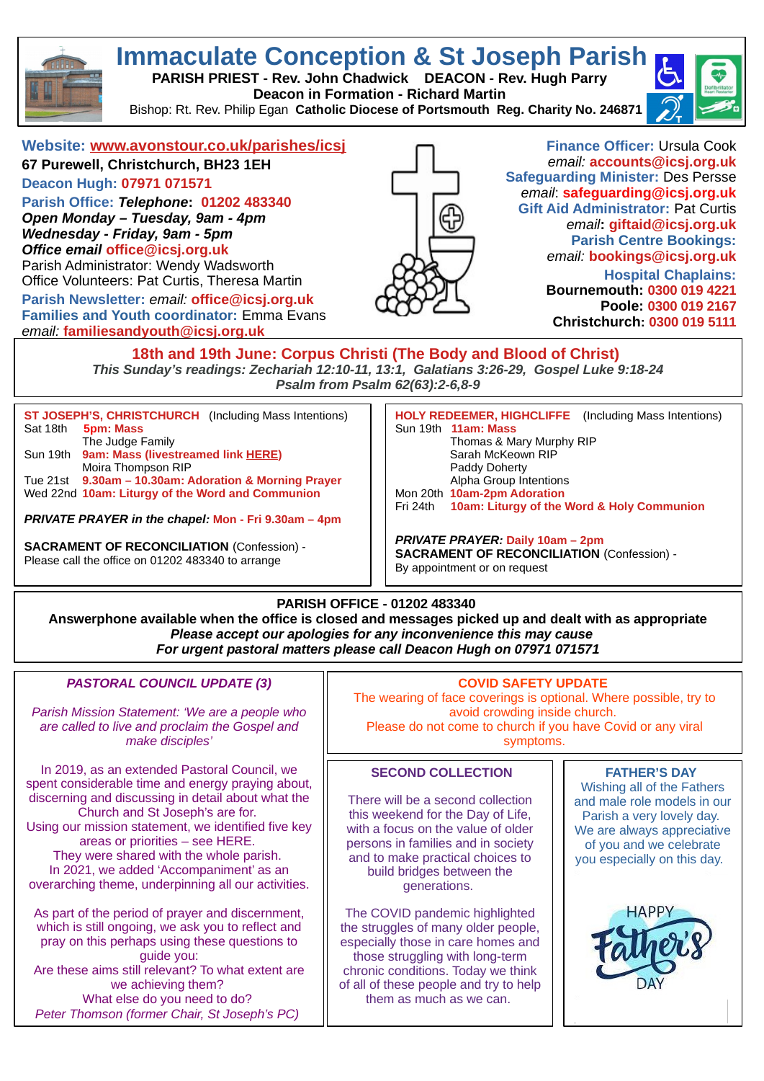

# **Immaculate Conception & St Joseph Parish**

**PARISH PRIEST - Rev. John Chadwick DEACON - Rev. Hugh Parry Deacon in Formation - Richard Martin** 

Bishop: Rt. Rev. Philip Egan **Catholic Diocese of Portsmouth Reg. Charity No. 246871**



## **Website: [www.avonstour.co.uk/parishes/icsj](http://www.avonstour.co.uk/parishes/icsj)**

**67 Purewell, Christchurch, BH23 1EH Deacon Hugh: 07971 071571**

**Parish Office:** *Telephone***: 01202 483340** *Open Monday – Tuesday, 9am - 4pm Wednesday - Friday, 9am - 5pm Office email* **[office@icsj.org.uk](mailto:office@icsj.org.uk)**

Parish Administrator: Wendy Wadsworth Office Volunteers: Pat Curtis, Theresa Martin

**Parish Newsletter:** *email:* **[office@icsj.org.uk](mailto:office@icsj.org.uk) Families and Youth coordinator:** Emma Evans *email:* **familiesandyouth@icsj.org.uk**



**Finance Officer:** Ursula Cook *email:* **[accounts@icsj.org.uk](mailto:accounts@icsj.org.uk) Safeguarding Minister:** Des Persse *email*: **safeguarding@icsj.org.uk Gift Aid Administrator:** Pat Curtis *email***: [giftaid@icsj.org.uk](mailto:giftaid@icsj.org.uk) Parish Centre Bookings:** *email:* **bookings@icsj.org.uk Hospital Chaplains:**

**Bournemouth: 0300 019 4221 Poole: 0300 019 2167 Christchurch: 0300 019 5111**

**18th and 19th June: Corpus Christi (The Body and Blood of Christ)**  *This Sunday's readings: Zechariah 12:10-11, 13:1, Galatians 3:26-29, Gospel Luke 9:18-24 Psalm from Psalm 62(63):2-6,8-9*

**ST JOSEPH'S, CHRISTCHURCH** (Including Mass Intentions)<br>Sat 18th **5pm: Mass 5pm: Mass** The Judge Family Sun 19th **9am: Mass (livestreamed link [HERE\)](http://www.avonstour.co.uk/parishes/icsj/)** Moira Thompson RIP Tue 21st **9.30am – 10.30am: Adoration & Morning Prayer** Wed 22nd **10am: Liturgy of the Word and Communion**

*PRIVATE PRAYER in the chapel:* **Mon - Fri 9.30am – 4pm**

**SACRAMENT OF RECONCILIATION** (Confession) - Please call the office on 01202 483340 to arrange

**HOLY REDEEMER, HIGHCLIFFE** (Including Mass Intentions) Sun 19th **11am: Mass** Thomas & Mary Murphy RIP Sarah McKeown RIP Paddy Doherty Alpha Group Intentions

Mon 20th **10am-2pm Adoration** Fri 24th **10am: Liturgy of the Word & Holy Communion**

*PRIVATE PRAYER:* **Daily 10am – 2pm SACRAMENT OF RECONCILIATION** (Confession) - By appointment or on request

## **PARISH OFFICE - 01202 483340**

**Answerphone available when the office is closed and messages picked up and dealt with as appropriate** *Please accept our apologies for any inconvenience this may cause For urgent pastoral matters please call Deacon Hugh on 07971 071571*

#### *PASTORAL COUNCIL UPDATE (3)*

*Parish Mission Statement: 'We are a people who are called to live and proclaim the Gospel and make disciples'*

In 2019, as an extended Pastoral Council, we [spent considerable time and energy praying about,](https://drive.google.com/file/d/1d7o1ws5OHsW6998aGpA-hnIMnjHcw58x/view?usp=sharing)  discerning and discussing in detail about what the Church and St Joseph's are for. Using our mission statement, we identified five key areas or priorities – see HERE. They were shared with the whole parish. In 2021, we added 'Accompaniment' as an overarching theme, underpinning all our activities.

As part of the period of prayer and discernment, which is still ongoing, we ask you to reflect and pray on this perhaps using these questions to guide you: Are these aims still relevant? To what extent are we achieving them? What else do you need to do? *Peter Thomson (former Chair, St Joseph's PC)*

#### **COVID SAFETY UPDATE**

The wearing of face coverings is optional. Where possible, try to avoid crowding inside church. Please do not come to church if you have Covid or any viral symptoms.

### **SECOND COLLECTION**

There will be a second collection this weekend for the Day of Life, with a focus on the value of older persons in families and in society and to make practical choices to build bridges between the generations.

The COVID pandemic highlighted the struggles of many older people, especially those in care homes and those struggling with long-term chronic conditions. Today we think of all of these people and try to help them as much as we can.

#### **FATHER'S DAY**

Wishing all of the Fathers and male role models in our Parish a very lovely day. We are always appreciative of you and we celebrate you especially on this day.